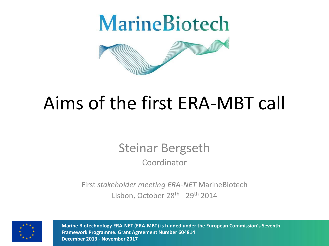

### Aims of the first ERA-MBT call

### Steinar Bergseth Coordinator

First *stakeholder meeting ERA-NET* MarineBiotech Lisbon, October 28<sup>th</sup> - 29<sup>th</sup> 2014



**Marine Biotechnology ERA-NET (ERA-MBT) is funded under the European Commission's Seventh Framework Programme. Grant Agreement Number 604814 December 2013 - November 2017**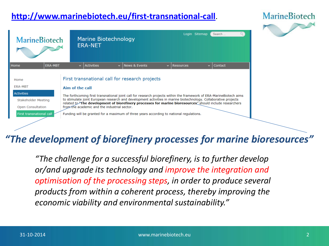#### **<http://www.marinebiotech.eu/first-transnational-call>**.



| <b>MarineBiotech</b>                                                                                                |                |                                                                                                                                                                                                                                                                                                                                                                                                                                                                                                                                                                    | <b>Marine Biotechnology</b><br><b>ERA-NET</b> |   |                          |              |           | Login Sitemap | Search  |  |
|---------------------------------------------------------------------------------------------------------------------|----------------|--------------------------------------------------------------------------------------------------------------------------------------------------------------------------------------------------------------------------------------------------------------------------------------------------------------------------------------------------------------------------------------------------------------------------------------------------------------------------------------------------------------------------------------------------------------------|-----------------------------------------------|---|--------------------------|--------------|-----------|---------------|---------|--|
| Home                                                                                                                | <b>ERA-MBT</b> | $\mathbf{v}$                                                                                                                                                                                                                                                                                                                                                                                                                                                                                                                                                       | <b>Activities</b>                             | v | <b>News &amp; Events</b> | $\mathbf{v}$ | Resources | v.            | Contact |  |
| Home<br><b>ERA-MBT</b><br><b>Activities</b><br>Stakeholder Meeting<br>Open Consultation<br>First transnational call |                | First transnational call for research projects<br>Aim of the call<br>The forthcoming first transnational joint call for research projects within the framework of ERA-MarineBiotech aims<br>to stimulate joint European research and development activities in marine biotechnology. Collaborative projects<br>related to Fine development of biorefinery processes for marine bioresources" should include researchers<br>from the academic and the industrial sector.<br>Funding will be granted for a maximum of three years according to national regulations. |                                               |   |                          |              |           |               |         |  |

#### *"The development of biorefinery processes for marine bioresources"*

*"The challenge for a successful biorefinery, is to further develop or/and upgrade its technology and improve the integration and optimisation of the processing steps, in order to produce several products from within a coherent process, thereby improving the economic viability and environmental sustainability."*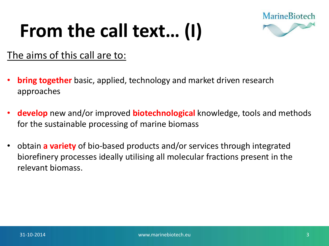## **From the call text… (I)**



#### The aims of this call are to:

- **bring together** basic, applied, technology and market driven research approaches
- **develop** new and/or improved **biotechnological** knowledge, tools and methods for the sustainable processing of marine biomass
- obtain **a variety** of bio-based products and/or services through integrated biorefinery processes ideally utilising all molecular fractions present in the relevant biomass.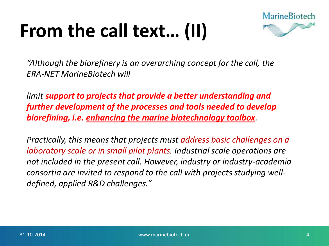## **From the call text… (II)**



*"Although the biorefinery is an overarching concept for the call, the ERA-NET MarineBiotech will* 

*limit support to projects that provide a better understanding and further development of the processes and tools needed to develop biorefining, i.e. enhancing the marine biotechnology toolbox.* 

*Practically, this means that projects must address basic challenges on a laboratory scale or in small pilot plants. Industrial scale operations are not included in the present call. However, industry or industry-academia consortia are invited to respond to the call with projects studying welldefined, applied R&D challenges."*